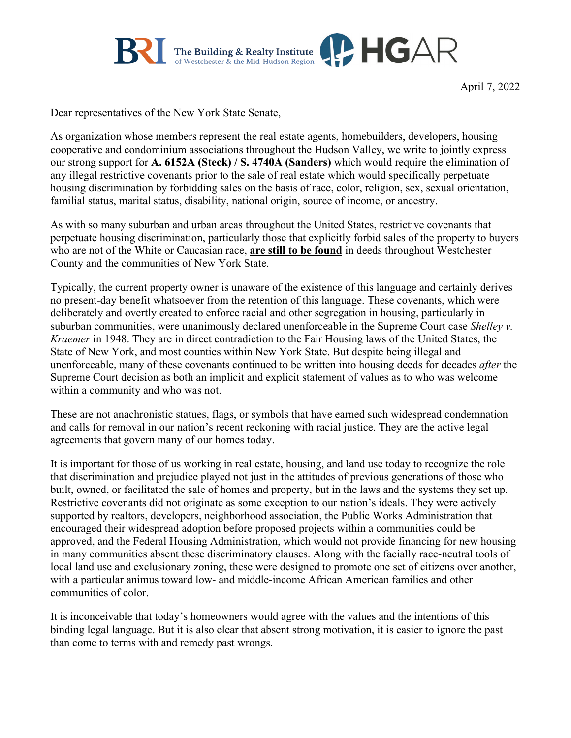

April 7, 2022

Dear representatives of the New York State Senate,

As organization whose members represent the real estate agents, homebuilders, developers, housing cooperative and condominium associations throughout the Hudson Valley, we write to jointly express our strong support for **A. 6152A (Steck) / S. 4740A (Sanders)** which would require the elimination of any illegal restrictive covenants prior to the sale of real estate which would specifically perpetuate housing discrimination by forbidding sales on the basis of race, color, religion, sex, sexual orientation, familial status, marital status, disability, national origin, source of income, or ancestry.

As with so many suburban and urban areas throughout the United States, restrictive covenants that perpetuate housing discrimination, particularly those that explicitly forbid sales of the property to buyers who are not of the White or Caucasian race, **are still to be found** in deeds throughout Westchester County and the communities of New York State.

Typically, the current property owner is unaware of the existence of this language and certainly derives no present-day benefit whatsoever from the retention of this language. These covenants, which were deliberately and overtly created to enforce racial and other segregation in housing, particularly in suburban communities, were unanimously declared unenforceable in the Supreme Court case *Shelley v. Kraemer* in 1948. They are in direct contradiction to the Fair Housing laws of the United States, the State of New York, and most counties within New York State. But despite being illegal and unenforceable, many of these covenants continued to be written into housing deeds for decades *after* the Supreme Court decision as both an implicit and explicit statement of values as to who was welcome within a community and who was not.

These are not anachronistic statues, flags, or symbols that have earned such widespread condemnation and calls for removal in our nation's recent reckoning with racial justice. They are the active legal agreements that govern many of our homes today.

It is important for those of us working in real estate, housing, and land use today to recognize the role that discrimination and prejudice played not just in the attitudes of previous generations of those who built, owned, or facilitated the sale of homes and property, but in the laws and the systems they set up. Restrictive covenants did not originate as some exception to our nation's ideals. They were actively supported by realtors, developers, neighborhood association, the Public Works Administration that encouraged their widespread adoption before proposed projects within a communities could be approved, and the Federal Housing Administration, which would not provide financing for new housing in many communities absent these discriminatory clauses. Along with the facially race-neutral tools of local land use and exclusionary zoning, these were designed to promote one set of citizens over another, with a particular animus toward low- and middle-income African American families and other communities of color.

It is inconceivable that today's homeowners would agree with the values and the intentions of this binding legal language. But it is also clear that absent strong motivation, it is easier to ignore the past than come to terms with and remedy past wrongs.